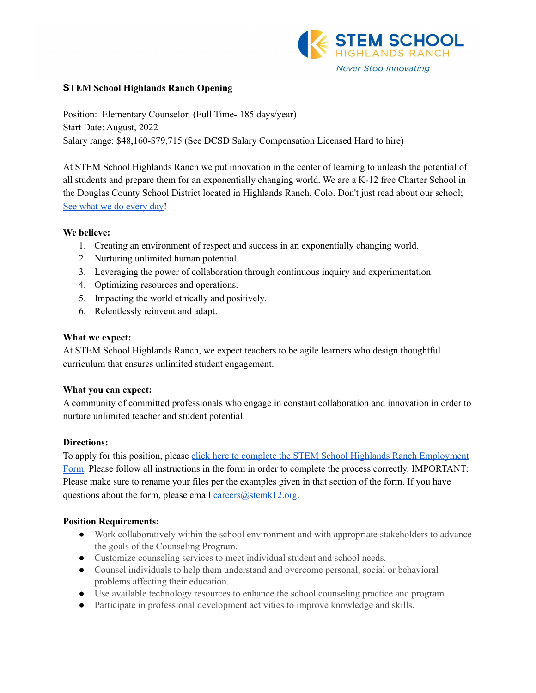

#### **STEM School Highlands Ranch Opening**

Position: Elementary Counselor (Full Time- 185 days/year) Start Date: August, 2022 Salary range: \$48,160-\$79,715 (See DCSD Salary Compensation Licensed Hard to hire)

At STEM School Highlands Ranch we put innovation in the center of learning to unleash the potential of all students and prepare them for an exponentially changing world. We are a K-12 free Charter School in the Douglas County School District located in Highlands Ranch, Colo. Don't just read about our school; See what we do [every](https://www.youtube.com/channel/UCEjas5mnML_7D6bnjE6cBXQ) day!

#### **We believe:**

- 1. Creating an environment of respect and success in an exponentially changing world.
- 2. Nurturing unlimited human potential.
- 3. Leveraging the power of collaboration through continuous inquiry and experimentation.
- 4. Optimizing resources and operations.
- 5. Impacting the world ethically and positively.
- 6. Relentlessly reinvent and adapt.

#### **What we expect:**

At STEM School Highlands Ranch, we expect teachers to be agile learners who design thoughtful curriculum that ensures unlimited student engagement.

### **What you can expect:**

A community of committed professionals who engage in constant collaboration and innovation in order to nurture unlimited teacher and student potential.

### **Directions:**

To apply for this position, please click here to complete the STEM School Highlands Ranch [Employment](https://docs.google.com/forms/d/e/1FAIpQLSfix8N5Y4r8UN-EoNntuUI_3ZGfalCIW_KiKAja-s9jkUit8g/viewform?usp=sf_link) [Form.](https://docs.google.com/forms/d/e/1FAIpQLSfix8N5Y4r8UN-EoNntuUI_3ZGfalCIW_KiKAja-s9jkUit8g/viewform?usp=sf_link) Please follow all instructions in the form in order to complete the process correctly. IMPORTANT: Please make sure to rename your files per the examples given in that section of the form. If you have questions about the form, please email  $\frac{ \text{ca} \cdot \text{cers}(\partial \text{stemk12.org})}{ \text{ca} \cdot \text{cers}}$ .

### **Position Requirements:**

- Work collaboratively within the school environment and with appropriate stakeholders to advance the goals of the Counseling Program.
- Customize counseling services to meet individual student and school needs.
- Counsel individuals to help them understand and overcome personal, social or behavioral problems affecting their education.
- Use available technology resources to enhance the school counseling practice and program.
- Participate in professional development activities to improve knowledge and skills.